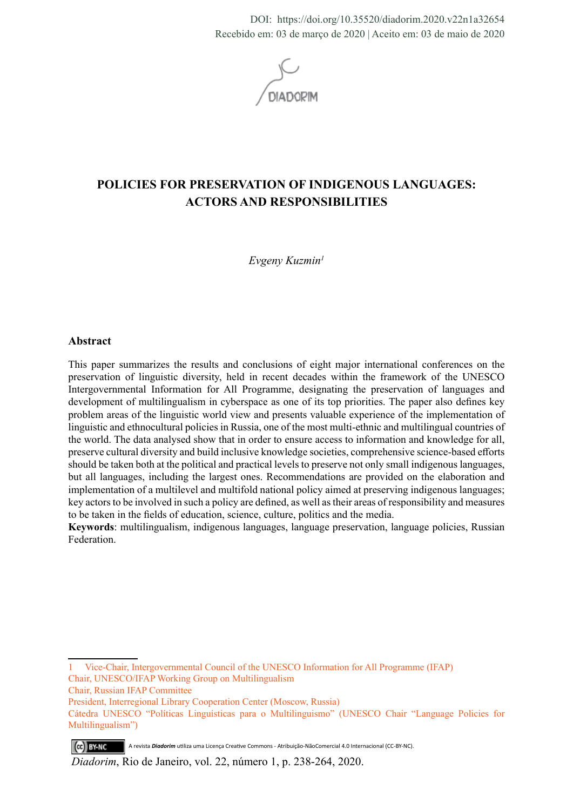DOI: https://doi.org/10.35520/diadorim.2020.v22n1a32654 Recebido em: 03 de março de 2020 | Aceito em: 03 de maio de 2020

# **POLICIES FOR PRESERVATION OF INDIGENOUS LANGUAGES: ACTORS AND RESPONSIBILITIES**

*Evgeny Kuzmin1*

#### **Abstract**

This paper summarizes the results and conclusions of eight major international conferences on the preservation of linguistic diversity, held in recent decades within the framework of the UNESCO Intergovernmental Information for All Programme, designating the preservation of languages and development of multilingualism in cyberspace as one of its top priorities. The paper also defines key problem areas of the linguistic world view and presents valuable experience of the implementation of linguistic and ethnocultural policies in Russia, one of the most multi-ethnic and multilingual countries of the world. The data analysed show that in order to ensure access to information and knowledge for all, preserve cultural diversity and build inclusive knowledge societies, comprehensive science-based efforts should be taken both at the political and practical levels to preserve not only small indigenous languages, but all languages, including the largest ones. Recommendations are provided on the elaboration and implementation of a multilevel and multifold national policy aimed at preserving indigenous languages; key actors to be involved in such a policy are defined, as well as their areas of responsibility and measures to be taken in the fields of education, science, culture, politics and the media.

**Keywords**: multilingualism, indigenous languages, language preservation, language policies, Russian Federation.

1 Vice-Chair, Intergovernmental Council of the UNESCO Information for All Programme (IFAP) Chair, UNESCO/IFAP Working Group on Multilingualism

Chair, Russian IFAP Committee

(ce) BY-NC A revista *Diadorim* utiliza uma Licença Creative Commons - Atribuição-NãoComercial 4.0 Internacional (CC-BY-NC).

President, Interregional Library Cooperation Center (Moscow, Russia)

Cátedra UNESCO "Políticas Linguísticas para o Multilinguismo" (UNESCO Chair "Language Policies for Multilingualism")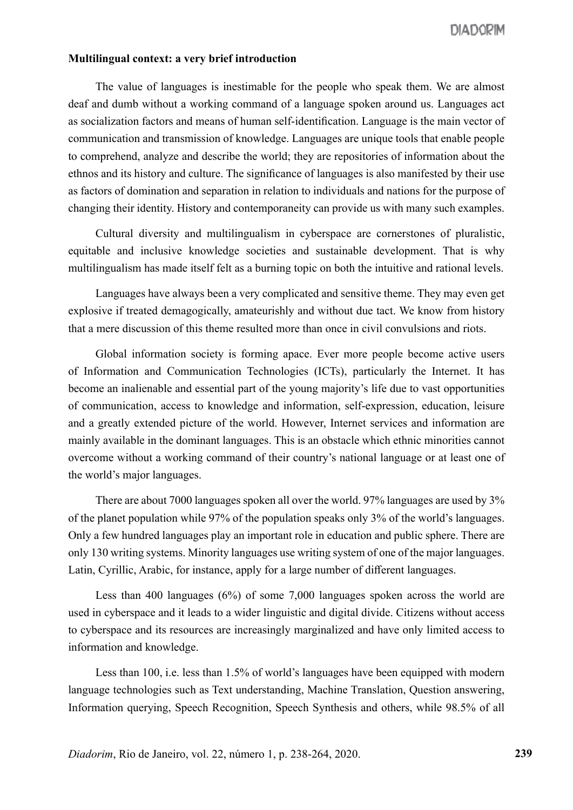#### **Multilingual context: a very brief introduction**

The value of languages is inestimable for the people who speak them. We are almost deaf and dumb without a working command of a language spoken around us. Languages act as socialization factors and means of human self-identification. Language is the main vector of communication and transmission of knowledge. Languages are unique tools that enable people to comprehend, analyze and describe the world; they are repositories of information about the ethnos and its history and culture. The significance of languages is also manifested by their use as factors of domination and separation in relation to individuals and nations for the purpose of changing their identity. History and contemporaneity can provide us with many such examples.

Cultural diversity and multilingualism in cyberspace are cornerstones of pluralistic, equitable and inclusive knowledge societies and sustainable development. That is why multilingualism has made itself felt as a burning topic on both the intuitive and rational levels.

Languages have always been a very complicated and sensitive theme. They may even get explosive if treated demagogically, amateurishly and without due tact. We know from history that a mere discussion of this theme resulted more than once in civil convulsions and riots.

Global information society is forming apace. Ever more people become active users of Information and Communication Technologies (ICTs), particularly the Internet. It has become an inalienable and essential part of the young majority's life due to vast opportunities of communication, access to knowledge and information, self-expression, education, leisure and a greatly extended picture of the world. However, Internet services and information are mainly available in the dominant languages. This is an obstacle which ethnic minorities cannot overcome without a working command of their country's national language or at least one of the world's major languages.

There are about 7000 languages spoken all over the world. 97% languages are used by 3% of the planet population while 97% of the population speaks only 3% of the world's languages. Only a few hundred languages play an important role in education and public sphere. There are only 130 writing systems. Minority languages use writing system of one of the major languages. Latin, Cyrillic, Arabic, for instance, apply for a large number of different languages.

Less than 400 languages (6%) of some 7,000 languages spoken across the world are used in cyberspace and it leads to a wider linguistic and digital divide. Citizens without access to cyberspace and its resources are increasingly marginalized and have only limited access to information and knowledge.

Less than 100, i.e. less than 1.5% of world's languages have been equipped with modern language technologies such as Text understanding, Machine Translation, Question answering, Information querying, Speech Recognition, Speech Synthesis and others, while 98.5% of all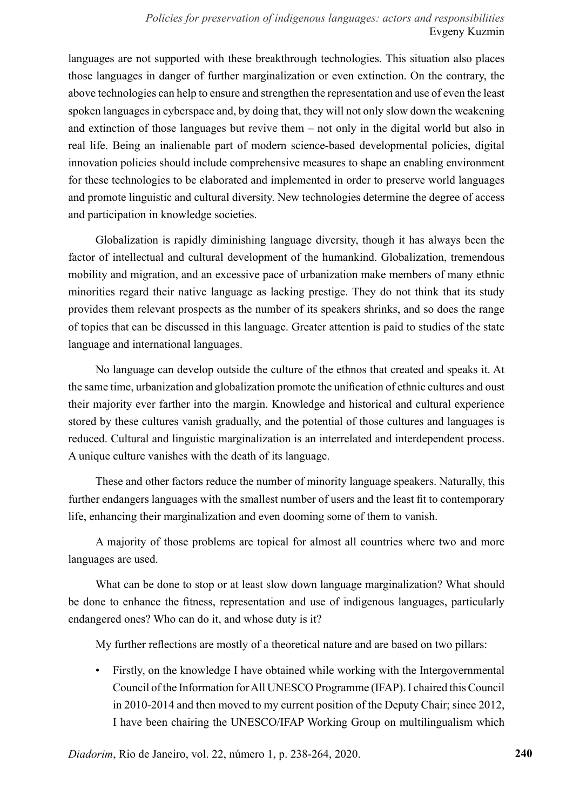## *Policies for preservation of indigenous languages: actors and responsibilities* Evgeny Kuzmin

languages are not supported with these breakthrough technologies. This situation also places those languages in danger of further marginalization or even extinction. On the contrary, the above technologies can help to ensure and strengthen the representation and use of even the least spoken languages in cyberspace and, by doing that, they will not only slow down the weakening and extinction of those languages but revive them – not only in the digital world but also in real life. Being an inalienable part of modern science-based developmental policies, digital innovation policies should include comprehensive measures to shape an enabling environment for these technologies to be elaborated and implemented in order to preserve world languages and promote linguistic and cultural diversity. New technologies determine the degree of access and participation in knowledge societies.

Globalization is rapidly diminishing language diversity, though it has always been the factor of intellectual and cultural development of the humankind. Globalization, tremendous mobility and migration, and an excessive pace of urbanization make members of many ethnic minorities regard their native language as lacking prestige. They do not think that its study provides them relevant prospects as the number of its speakers shrinks, and so does the range of topics that can be discussed in this language. Greater attention is paid to studies of the state language and international languages.

No language can develop outside the culture of the ethnos that created and speaks it. At the same time, urbanization and globalization promote the unification of ethnic cultures and oust their majority ever farther into the margin. Knowledge and historical and cultural experience stored by these cultures vanish gradually, and the potential of those cultures and languages is reduced. Cultural and linguistic marginalization is an interrelated and interdependent process. A unique culture vanishes with the death of its language.

These and other factors reduce the number of minority language speakers. Naturally, this further endangers languages with the smallest number of users and the least fit to contemporary life, enhancing their marginalization and even dooming some of them to vanish.

A majority of those problems are topical for almost all countries where two and more languages are used.

What can be done to stop or at least slow down language marginalization? What should be done to enhance the fitness, representation and use of indigenous languages, particularly endangered ones? Who can do it, and whose duty is it?

My further reflections are mostly of a theoretical nature and are based on two pillars:

• Firstly, on the knowledge I have obtained while working with the Intergovernmental Council of the Information for All UNESCO Programme (IFAP). I chaired this Council in 2010-2014 and then moved to my current position of the Deputy Chair; since 2012, I have been chairing the UNESCO/IFAP Working Group on multilingualism which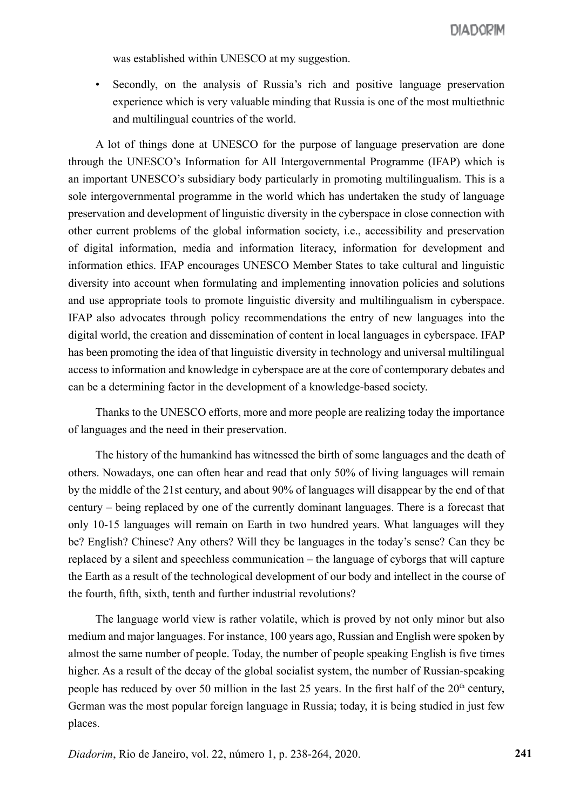was established within UNESCO at my suggestion.

• Secondly, on the analysis of Russia's rich and positive language preservation experience which is very valuable minding that Russia is one of the most multiethnic and multilingual countries of the world.

A lot of things done at UNESCO for the purpose of language preservation are done through the UNESCO's Information for All Intergovernmental Programme (IFAP) which is an important UNESCO's subsidiary body particularly in promoting multilingualism. This is a sole intergovernmental programme in the world which has undertaken the study of language preservation and development of linguistic diversity in the cyberspace in close connection with other current problems of the global information society, i.e., accessibility and preservation of digital information, media and information literacy, information for development and information ethics. IFAP encourages UNESCO Member States to take cultural and linguistic diversity into account when formulating and implementing innovation policies and solutions and use appropriate tools to promote linguistic diversity and multilingualism in cyberspace. IFAP also advocates through policy recommendations the entry of new languages into the digital world, the creation and dissemination of content in local languages in cyberspace. IFAP has been promoting the idea of that linguistic diversity in technology and universal multilingual access to information and knowledge in cyberspace are at the core of contemporary debates and can be a determining factor in the development of a knowledge-based society.

Thanks to the UNESCO efforts, more and more people are realizing today the importance of languages and the need in their preservation.

The history of the humankind has witnessed the birth of some languages and the death of others. Nowadays, one can often hear and read that only 50% of living languages will remain by the middle of the 21st century, and about 90% of languages will disappear by the end of that century – being replaced by one of the currently dominant languages. There is a forecast that only 10-15 languages will remain on Earth in two hundred years. What languages will they be? English? Chinese? Any others? Will they be languages in the today's sense? Can they be replaced by a silent and speechless communication – the language of cyborgs that will capture the Earth as a result of the technological development of our body and intellect in the course of the fourth, fifth, sixth, tenth and further industrial revolutions?

The language world view is rather volatile, which is proved by not only minor but also medium and major languages. For instance, 100 years ago, Russian and English were spoken by almost the same number of people. Today, the number of people speaking English is five times higher. As a result of the decay of the global socialist system, the number of Russian-speaking people has reduced by over 50 million in the last 25 years. In the first half of the  $20<sup>th</sup>$  century, German was the most popular foreign language in Russia; today, it is being studied in just few places.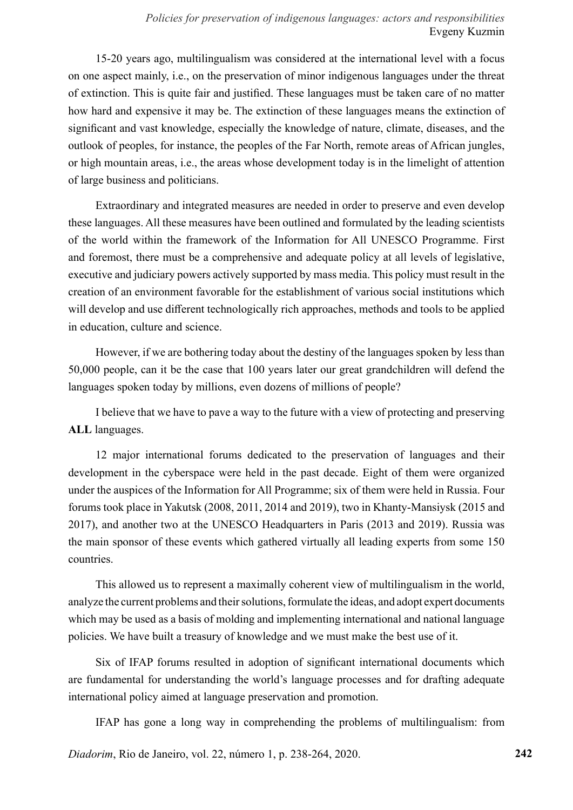# *Policies for preservation of indigenous languages: actors and responsibilities* Evgeny Kuzmin

15-20 years ago, multilingualism was considered at the international level with a focus on one aspect mainly, i.e., on the preservation of minor indigenous languages under the threat of extinction. This is quite fair and justified. These languages must be taken care of no matter how hard and expensive it may be. The extinction of these languages means the extinction of significant and vast knowledge, especially the knowledge of nature, climate, diseases, and the outlook of peoples, for instance, the peoples of the Far North, remote areas of African jungles, or high mountain areas, i.e., the areas whose development today is in the limelight of attention of large business and politicians.

Extraordinary and integrated measures are needed in order to preserve and even develop these languages. All these measures have been outlined and formulated by the leading scientists of the world within the framework of the Information for All UNESCO Programme. First and foremost, there must be a comprehensive and adequate policy at all levels of legislative, executive and judiciary powers actively supported by mass media. This policy must result in the creation of an environment favorable for the establishment of various social institutions which will develop and use different technologically rich approaches, methods and tools to be applied in education, culture and science.

However, if we are bothering today about the destiny of the languages spoken by less than 50,000 people, can it be the case that 100 years later our great grandchildren will defend the languages spoken today by millions, even dozens of millions of people?

I believe that we have to pave a way to the future with a view of protecting and preserving **ALL** languages.

12 major international forums dedicated to the preservation of languages and their development in the cyberspace were held in the past decade. Eight of them were organized under the auspices of the Information for All Programme; six of them were held in Russia. Four forums took place in Yakutsk (2008, 2011, 2014 and 2019), two in Khanty-Mansiysk (2015 and 2017), and another two at the UNESCO Headquarters in Paris (2013 and 2019). Russia was the main sponsor of these events which gathered virtually all leading experts from some 150 countries.

This allowed us to represent a maximally coherent view of multilingualism in the world, analyze the current problems and their solutions, formulate the ideas, and adopt expert documents which may be used as a basis of molding and implementing international and national language policies. We have built a treasury of knowledge and we must make the best use of it.

Six of IFAP forums resulted in adoption of significant international documents which are fundamental for understanding the world's language processes and for drafting adequate international policy aimed at language preservation and promotion.

IFAP has gone a long way in comprehending the problems of multilingualism: from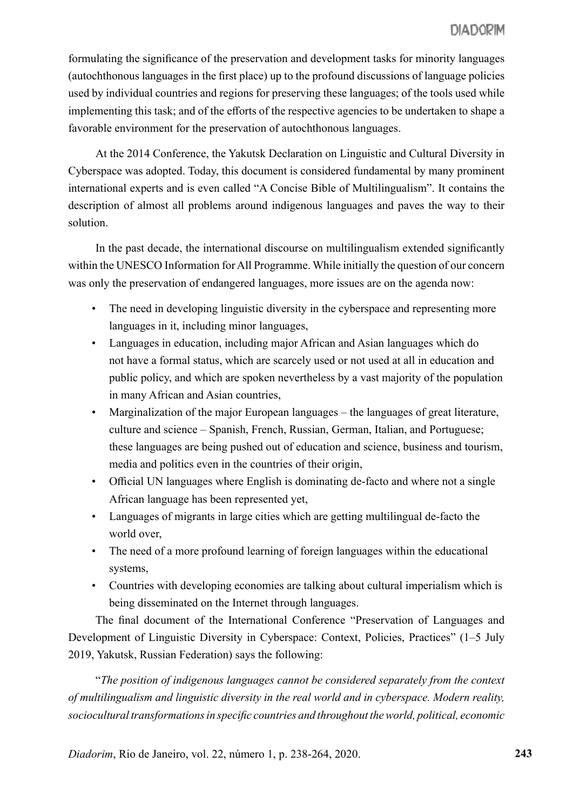formulating the significance of the preservation and development tasks for minority languages (autochthonous languages in the first place) up to the profound discussions of language policies used by individual countries and regions for preserving these languages; of the tools used while implementing this task; and of the efforts of the respective agencies to be undertaken to shape a favorable environment for the preservation of autochthonous languages.

At the 2014 Conference, the Yakutsk Declaration on Linguistic and Cultural Diversity in Cyberspace was adopted. Today, this document is considered fundamental by many prominent international experts and is even called "A Concise Bible of Multilingualism". It contains the description of almost all problems around indigenous languages and paves the way to their solution.

In the past decade, the international discourse on multilingualism extended significantly within the UNESCO Information for All Programme. While initially the question of our concern was only the preservation of endangered languages, more issues are on the agenda now:

- The need in developing linguistic diversity in the cyberspace and representing more languages in it, including minor languages,
- Languages in education, including major African and Asian languages which do not have a formal status, which are scarcely used or not used at all in education and public policy, and which are spoken nevertheless by a vast majority of the population in many African and Asian countries,
- Marginalization of the major European languages the languages of great literature, culture and science – Spanish, French, Russian, German, Italian, and Portuguese; these languages are being pushed out of education and science, business and tourism, media and politics even in the countries of their origin,
- Official UN languages where English is dominating de-facto and where not a single African language has been represented yet,
- Languages of migrants in large cities which are getting multilingual de-facto the world over,
- The need of a more profound learning of foreign languages within the educational systems,
- Countries with developing economies are talking about cultural imperialism which is being disseminated on the Internet through languages.

The final document of the International Conference "Preservation of Languages and Development of Linguistic Diversity in Cyberspace: Context, Policies, Practices" (1–5 July 2019, Yakutsk, Russian Federation) says the following:

"*The position of indigenous languages cannot be considered separately from the context of multilingualism and linguistic diversity in the real world and in cyberspace. Modern reality, sociocultural transformations in specific countries and throughout the world, political, economic*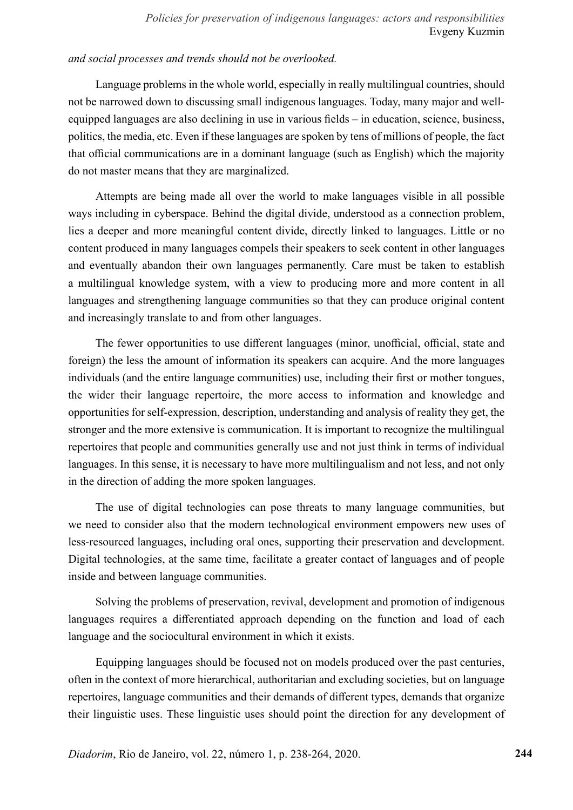## *and social processes and trends should not be overlooked.*

Language problems in the whole world, especially in really multilingual countries, should not be narrowed down to discussing small indigenous languages. Today, many major and wellequipped languages are also declining in use in various fields – in education, science, business, politics, the media, etc. Even if these languages are spoken by tens of millions of people, the fact that official communications are in a dominant language (such as English) which the majority do not master means that they are marginalized.

Attempts are being made all over the world to make languages visible in all possible ways including in cyberspace. Behind the digital divide, understood as a connection problem, lies a deeper and more meaningful content divide, directly linked to languages. Little or no content produced in many languages compels their speakers to seek content in other languages and eventually abandon their own languages permanently. Care must be taken to establish a multilingual knowledge system, with a view to producing more and more content in all languages and strengthening language communities so that they can produce original content and increasingly translate to and from other languages.

The fewer opportunities to use different languages (minor, unofficial, official, state and foreign) the less the amount of information its speakers can acquire. And the more languages individuals (and the entire language communities) use, including their first or mother tongues, the wider their language repertoire, the more access to information and knowledge and opportunities for self-expression, description, understanding and analysis of reality they get, the stronger and the more extensive is communication. It is important to recognize the multilingual repertoires that people and communities generally use and not just think in terms of individual languages. In this sense, it is necessary to have more multilingualism and not less, and not only in the direction of adding the more spoken languages.

The use of digital technologies can pose threats to many language communities, but we need to consider also that the modern technological environment empowers new uses of less-resourced languages, including oral ones, supporting their preservation and development. Digital technologies, at the same time, facilitate a greater contact of languages and of people inside and between language communities.

Solving the problems of preservation, revival, development and promotion of indigenous languages requires a differentiated approach depending on the function and load of each language and the sociocultural environment in which it exists.

Equipping languages should be focused not on models produced over the past centuries, often in the context of more hierarchical, authoritarian and excluding societies, but on language repertoires, language communities and their demands of different types, demands that organize their linguistic uses. These linguistic uses should point the direction for any development of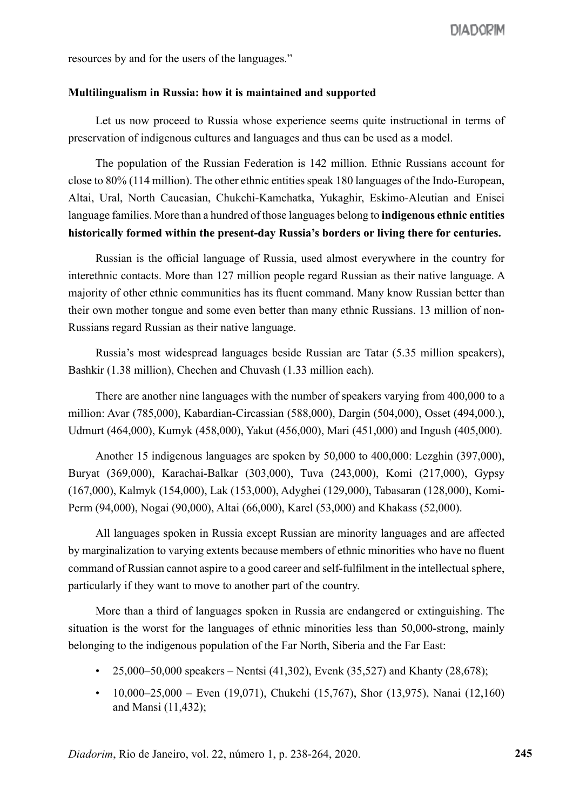resources by and for the users of the languages."

#### **Multilingualism in Russia: how it is maintained and supported**

Let us now proceed to Russia whose experience seems quite instructional in terms of preservation of indigenous cultures and languages and thus can be used as a model.

The population of the Russian Federation is 142 million. Ethnic Russians account for close to 80% (114 million). The other ethnic entities speak 180 languages of the Indo-European, Altai, Ural, North Caucasian, Chukchi-Kamchatka, Yukaghir, Eskimo-Aleutian and Enisei language families. More than a hundred of those languages belong to **indigenous ethnic entities historically formed within the present-day Russia's borders or living there for centuries.** 

Russian is the official language of Russia, used almost everywhere in the country for interethnic contacts. More than 127 million people regard Russian as their native language. A majority of other ethnic communities has its fluent command. Many know Russian better than their own mother tongue and some even better than many ethnic Russians. 13 million of non-Russians regard Russian as their native language.

Russia's most widespread languages beside Russian are Tatar (5.35 million speakers), Bashkir (1.38 million), Chechen and Chuvash (1.33 million each).

There are another nine languages with the number of speakers varying from 400,000 to a million: Avar (785,000), Kabardian-Circassian (588,000), Dargin (504,000), Osset (494,000.), Udmurt (464,000), Kumyk (458,000), Yakut (456,000), Mari (451,000) and Ingush (405,000).

Another 15 indigenous languages are spoken by 50,000 to 400,000: Lezghin (397,000), Buryat (369,000), Karachai-Balkar (303,000), Tuva (243,000), Komi (217,000), Gypsy (167,000), Kalmyk (154,000), Lak (153,000), Adyghei (129,000), Tabasaran (128,000), Komi-Perm (94,000), Nogai (90,000), Altai (66,000), Karel (53,000) and Khakass (52,000).

All languages spoken in Russia except Russian are minority languages and are affected by marginalization to varying extents because members of ethnic minorities who have no fluent command of Russian cannot aspire to a good career and self-fulfilment in the intellectual sphere, particularly if they want to move to another part of the country.

More than a third of languages spoken in Russia are endangered or extinguishing. The situation is the worst for the languages of ethnic minorities less than 50,000-strong, mainly belonging to the indigenous population of the Far North, Siberia and the Far East:

- 25,000–50,000 speakers Nentsi (41,302), Evenk (35,527) and Khanty (28,678);
- $10,000-25,000$  Even (19,071), Chukchi (15,767), Shor (13,975), Nanai (12,160) and Mansi (11,432);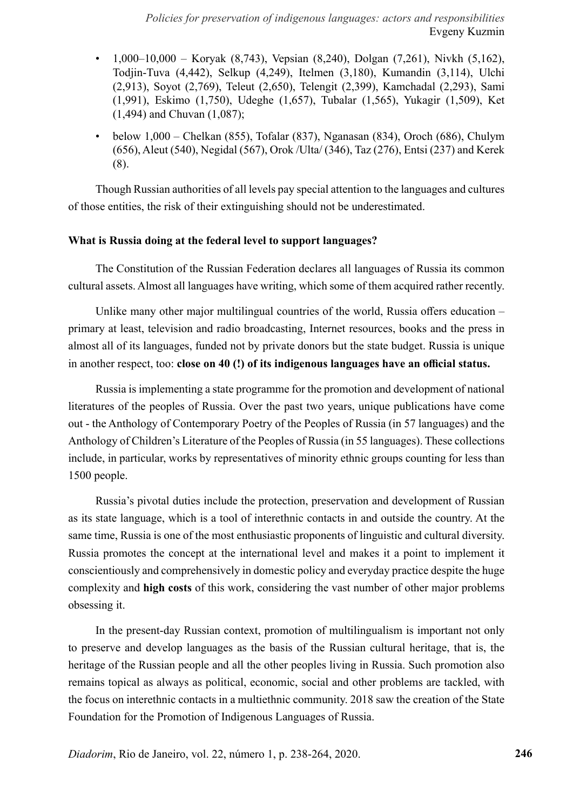- 1,000–10,000 Koryak (8,743), Vepsian (8,240), Dolgan (7,261), Nivkh (5,162), Todjin-Tuva (4,442), Selkup (4,249), Itelmen (3,180), Kumandin (3,114), Ulchi (2,913), Soyot (2,769), Teleut (2,650), Telengit (2,399), Kamchadal (2,293), Sami (1,991), Eskimo (1,750), Udeghe (1,657), Tubalar (1,565), Yukagir (1,509), Ket (1,494) and Chuvan (1,087);
- below  $1,000$  Chelkan (855), Tofalar (837), Nganasan (834), Oroch (686), Chulym (656), Aleut (540), Negidal (567), Orok /Ulta/ (346), Taz (276), Entsi (237) and Kerek (8).

Though Russian authorities of all levels pay special attention to the languages and cultures of those entities, the risk of their extinguishing should not be underestimated.

## **What is Russia doing at the federal level to support languages?**

The Constitution of the Russian Federation declares all languages of Russia its common cultural assets. Almost all languages have writing, which some of them acquired rather recently.

Unlike many other major multilingual countries of the world, Russia offers education – primary at least, television and radio broadcasting, Internet resources, books and the press in almost all of its languages, funded not by private donors but the state budget. Russia is unique in another respect, too: **close on 40 (!) of its indigenous languages have an official status.** 

Russia is implementing a state programme for the promotion and development of national literatures of the peoples of Russia. Over the past two years, unique publications have come out - the Anthology of Contemporary Poetry of the Peoples of Russia (in 57 languages) and the Anthology of Children's Literature of the Peoples of Russia (in 55 languages). These collections include, in particular, works by representatives of minority ethnic groups counting for less than 1500 people.

Russia's pivotal duties include the protection, preservation and development of Russian as its state language, which is a tool of interethnic contacts in and outside the country. At the same time, Russia is one of the most enthusiastic proponents of linguistic and cultural diversity. Russia promotes the concept at the international level and makes it a point to implement it conscientiously and comprehensively in domestic policy and everyday practice despite the huge complexity and **high costs** of this work, considering the vast number of other major problems obsessing it.

In the present-day Russian context, promotion of multilingualism is important not only to preserve and develop languages as the basis of the Russian cultural heritage, that is, the heritage of the Russian people and all the other peoples living in Russia. Such promotion also remains topical as always as political, economic, social and other problems are tackled, with the focus on interethnic contacts in a multiethnic community. 2018 saw the creation of the State Foundation for the Promotion of Indigenous Languages of Russia.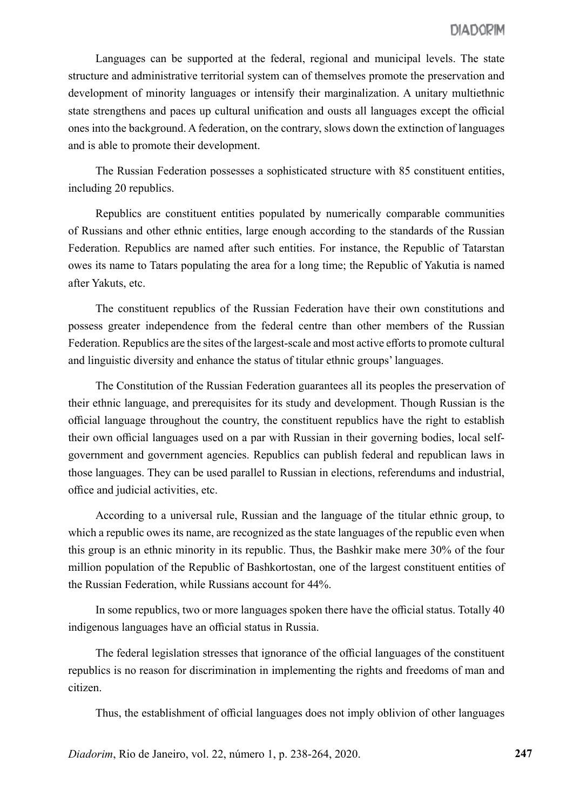Languages can be supported at the federal, regional and municipal levels. The state structure and administrative territorial system can of themselves promote the preservation and development of minority languages or intensify their marginalization. A unitary multiethnic state strengthens and paces up cultural unification and ousts all languages except the official ones into the background. A federation, on the contrary, slows down the extinction of languages and is able to promote their development.

The Russian Federation possesses a sophisticated structure with 85 constituent entities, including 20 republics.

Republics are constituent entities populated by numerically comparable communities of Russians and other ethnic entities, large enough according to the standards of the Russian Federation. Republics are named after such entities. For instance, the Republic of Tatarstan owes its name to Tatars populating the area for a long time; the Republic of Yakutia is named after Yakuts, etc.

The constituent republics of the Russian Federation have their own constitutions and possess greater independence from the federal centre than other members of the Russian Federation. Republics are the sites of the largest-scale and most active efforts to promote cultural and linguistic diversity and enhance the status of titular ethnic groups' languages.

The Constitution of the Russian Federation guarantees all its peoples the preservation of their ethnic language, and prerequisites for its study and development. Though Russian is the official language throughout the country, the constituent republics have the right to establish their own official languages used on a par with Russian in their governing bodies, local selfgovernment and government agencies. Republics can publish federal and republican laws in those languages. They can be used parallel to Russian in elections, referendums and industrial, office and judicial activities, etc.

According to a universal rule, Russian and the language of the titular ethnic group, to which a republic owes its name, are recognized as the state languages of the republic even when this group is an ethnic minority in its republic. Thus, the Bashkir make mere 30% of the four million population of the Republic of Bashkortostan, one of the largest constituent entities of the Russian Federation, while Russians account for 44%.

In some republics, two or more languages spoken there have the official status. Totally 40 indigenous languages have an official status in Russia.

The federal legislation stresses that ignorance of the official languages of the constituent republics is no reason for discrimination in implementing the rights and freedoms of man and citizen.

Thus, the establishment of official languages does not imply oblivion of other languages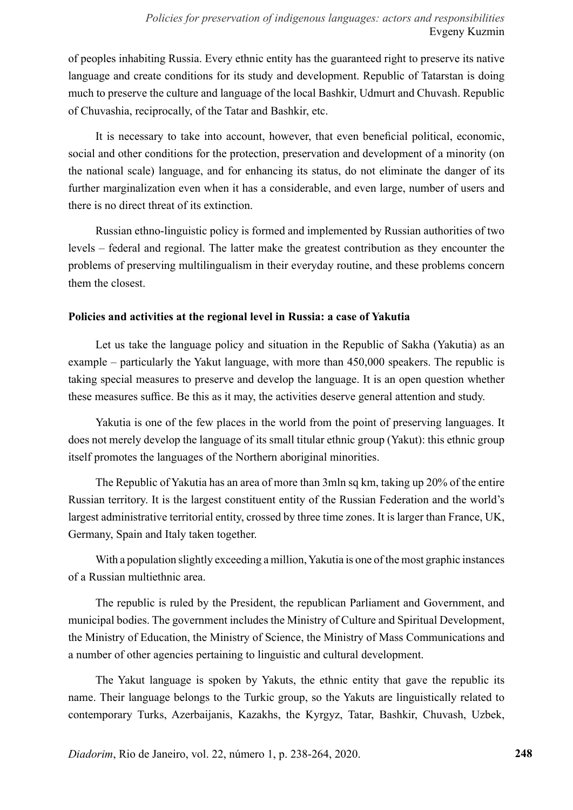# *Policies for preservation of indigenous languages: actors and responsibilities* Evgeny Kuzmin

of peoples inhabiting Russia. Every ethnic entity has the guaranteed right to preserve its native language and create conditions for its study and development. Republic of Tatarstan is doing much to preserve the culture and language of the local Bashkir, Udmurt and Chuvash. Republic of Chuvashia, reciprocally, of the Tatar and Bashkir, etc.

It is necessary to take into account, however, that even beneficial political, economic, social and other conditions for the protection, preservation and development of a minority (on the national scale) language, and for enhancing its status, do not eliminate the danger of its further marginalization even when it has a considerable, and even large, number of users and there is no direct threat of its extinction.

Russian ethno-linguistic policy is formed and implemented by Russian authorities of two levels – federal and regional. The latter make the greatest contribution as they encounter the problems of preserving multilingualism in their everyday routine, and these problems concern them the closest.

## **Policies and activities at the regional level in Russia: a case of Yakutia**

Let us take the language policy and situation in the Republic of Sakha (Yakutia) as an example – particularly the Yakut language, with more than 450,000 speakers. The republic is taking special measures to preserve and develop the language. It is an open question whether these measures suffice. Be this as it may, the activities deserve general attention and study.

Yakutia is one of the few places in the world from the point of preserving languages. It does not merely develop the language of its small titular ethnic group (Yakut): this ethnic group itself promotes the languages of the Northern aboriginal minorities.

The Republic of Yakutia has an area of more than 3mln sq km, taking up 20% of the entire Russian territory. It is the largest constituent entity of the Russian Federation and the world's largest administrative territorial entity, crossed by three time zones. It is larger than France, UK, Germany, Spain and Italy taken together.

With a population slightly exceeding a million, Yakutia is one of the most graphic instances of a Russian multiethnic area.

The republic is ruled by the President, the republican Parliament and Government, and municipal bodies. The government includes the Ministry of Culture and Spiritual Development, the Ministry of Education, the Ministry of Science, the Ministry of Mass Communications and a number of other agencies pertaining to linguistic and cultural development.

The Yakut language is spoken by Yakuts, the ethnic entity that gave the republic its name. Their language belongs to the Turkic group, so the Yakuts are linguistically related to contemporary Turks, Azerbaijanis, Kazakhs, the Kyrgyz, Tatar, Bashkir, Chuvash, Uzbek,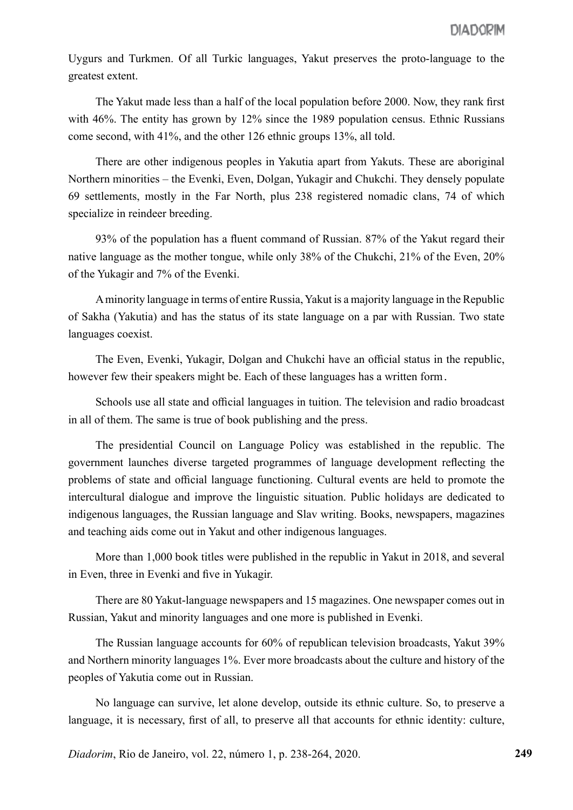Uygurs and Turkmen. Of all Turkic languages, Yakut preserves the proto-language to the greatest extent.

The Yakut made less than a half of the local population before 2000. Now, they rank first with 46%. The entity has grown by 12% since the 1989 population census. Ethnic Russians come second, with 41%, and the other 126 ethnic groups 13%, all told.

There are other indigenous peoples in Yakutia apart from Yakuts. These are aboriginal Northern minorities – the Evenki, Even, Dolgan, Yukagir and Chukchi. They densely populate 69 settlements, mostly in the Far North, plus 238 registered nomadic clans, 74 of which specialize in reindeer breeding.

93% of the population has a fluent command of Russian. 87% of the Yakut regard their native language as the mother tongue, while only 38% of the Chukchi, 21% of the Even, 20% of the Yukagir and 7% of the Evenki.

A minority language in terms of entire Russia, Yakut is a majority language in the Republic of Sakha (Yakutia) and has the status of its state language on a par with Russian. Two state languages coexist.

The Even, Evenki, Yukagir, Dolgan and Chukchi have an official status in the republic, however few their speakers might be. Each of these languages has a written form.

Schools use all state and official languages in tuition. The television and radio broadcast in all of them. The same is true of book publishing and the press.

The presidential Council on Language Policy was established in the republic. The government launches diverse targeted programmes of language development reflecting the problems of state and official language functioning. Cultural events are held to promote the intercultural dialogue and improve the linguistic situation. Public holidays are dedicated to indigenous languages, the Russian language and Slav writing. Books, newspapers, magazines and teaching aids come out in Yakut and other indigenous languages.

More than 1,000 book titles were published in the republic in Yakut in 2018, and several in Even, three in Evenki and five in Yukagir.

There are 80 Yakut-language newspapers and 15 magazines. One newspaper comes out in Russian, Yakut and minority languages and one more is published in Evenki.

The Russian language accounts for 60% of republican television broadcasts, Yakut 39% and Northern minority languages 1%. Ever more broadcasts about the culture and history of the peoples of Yakutia come out in Russian.

No language can survive, let alone develop, outside its ethnic culture. So, to preserve a language, it is necessary, first of all, to preserve all that accounts for ethnic identity: culture,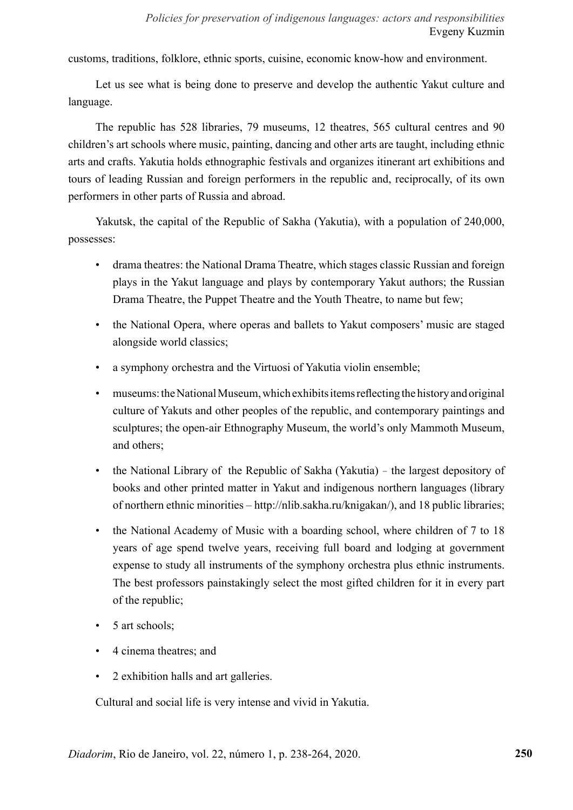customs, traditions, folklore, ethnic sports, cuisine, economic know-how and environment.

Let us see what is being done to preserve and develop the authentic Yakut culture and language.

The republic has 528 libraries, 79 museums, 12 theatres, 565 cultural centres and 90 children's art schools where music, painting, dancing and other arts are taught, including ethnic arts and crafts. Yakutia holds ethnographic festivals and organizes itinerant art exhibitions and tours of leading Russian and foreign performers in the republic and, reciprocally, of its own performers in other parts of Russia and abroad.

Yakutsk, the capital of the Republic of Sakha (Yakutia), with a population of 240,000, possesses:

- drama theatres: the National Drama Theatre, which stages classic Russian and foreign plays in the Yakut language and plays by contemporary Yakut authors; the Russian Drama Theatre, the Puppet Theatre and the Youth Theatre, to name but few;
- the National Opera, where operas and ballets to Yakut composers' music are staged alongside world classics;
- a symphony orchestra and the Virtuosi of Yakutia violin ensemble;
- museums: the National Museum, which exhibits items reflecting the history and original culture of Yakuts and other peoples of the republic, and contemporary paintings and sculptures; the open-air Ethnography Museum, the world's only Mammoth Museum, and others;
- the National Library of the Republic of Sakha (Yakutia) the largest depository of books and other printed matter in Yakut and indigenous northern languages (library of northern ethnic minorities – http://nlib.sakha.ru/knigakan/), and 18 public libraries;
- the National Academy of Music with a boarding school, where children of 7 to 18 years of age spend twelve years, receiving full board and lodging at government expense to study all instruments of the symphony orchestra plus ethnic instruments. The best professors painstakingly select the most gifted children for it in every part of the republic;
- 5 art schools;
- 4 cinema theatres; and
- 2 exhibition halls and art galleries.

Cultural and social life is very intense and vivid in Yakutia.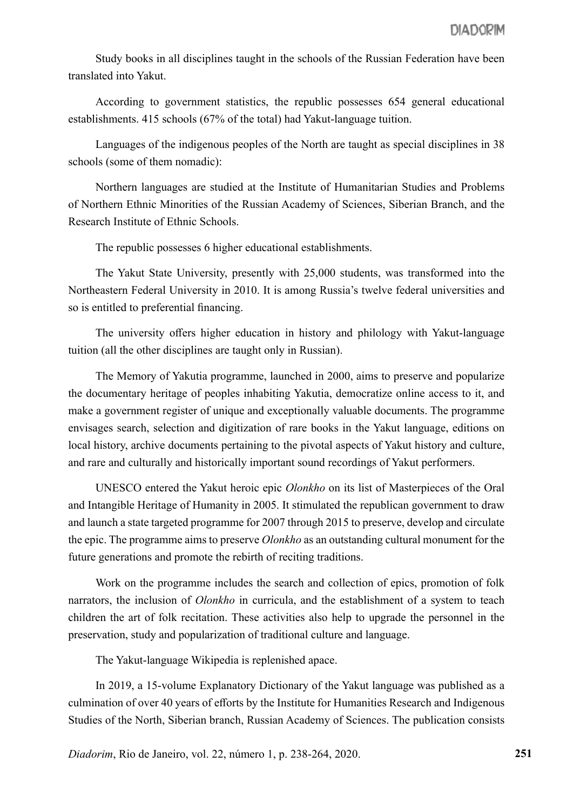Study books in all disciplines taught in the schools of the Russian Federation have been translated into Yakut.

According to government statistics, the republic possesses 654 general educational establishments. 415 schools (67% of the total) had Yakut-language tuition.

Languages of the indigenous peoples of the North are taught as special disciplines in 38 schools (some of them nomadic):

Northern languages are studied at the Institute of Humanitarian Studies and Problems of Northern Ethnic Minorities of the Russian Academy of Sciences, Siberian Branch, and the Research Institute of Ethnic Schools.

The republic possesses 6 higher educational establishments.

The Yakut State University, presently with 25,000 students, was transformed into the Northeastern Federal University in 2010. It is among Russia's twelve federal universities and so is entitled to preferential financing.

The university offers higher education in history and philology with Yakut-language tuition (all the other disciplines are taught only in Russian).

The Memory of Yakutia programme, launched in 2000, aims to preserve and popularize the documentary heritage of peoples inhabiting Yakutia, democratize online access to it, and make a government register of unique and exceptionally valuable documents. The programme envisages search, selection and digitization of rare books in the Yakut language, editions on local history, archive documents pertaining to the pivotal aspects of Yakut history and culture, and rare and culturally and historically important sound recordings of Yakut performers.

UNESCO entered the Yakut heroic epic *Olonkho* on its list of Masterpieces of the Oral and Intangible Heritage of Humanity in 2005. It stimulated the republican government to draw and launch a state targeted programme for 2007 through 2015 to preserve, develop and circulate the epic. The programme aims to preserve *Olonkho* as an outstanding cultural monument for the future generations and promote the rebirth of reciting traditions.

Work on the programme includes the search and collection of epics, promotion of folk narrators, the inclusion of *Olonkho* in curricula, and the establishment of a system to teach children the art of folk recitation. These activities also help to upgrade the personnel in the preservation, study and popularization of traditional culture and language.

The Yakut-language Wikipedia is replenished apace.

In 2019, a 15-volume Explanatory Dictionary of the Yakut language was published as a culmination of over 40 years of efforts by the Institute for Humanities Research and Indigenous Studies of the North, Siberian branch, Russian Academy of Sciences. The publication consists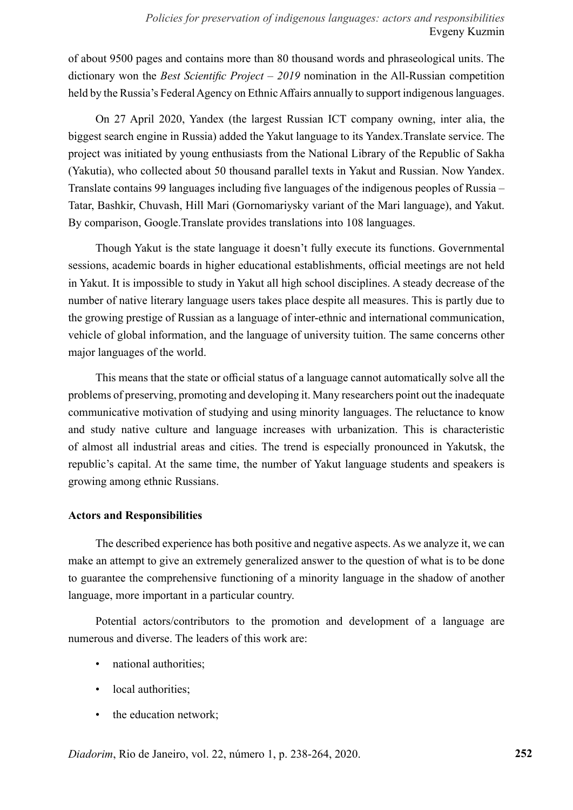of about 9500 pages and contains more than 80 thousand words and phraseological units. The dictionary won the *Best Scientific Project – 2019* nomination in the All-Russian competition held by the Russia's Federal Agency on Ethnic Affairs annually to support indigenous languages.

On 27 April 2020, Yandex (the largest Russian ICT company owning, inter alia, the biggest search engine in Russia) added the Yakut language to its Yandex.Translate service. The project was initiated by young enthusiasts from the National Library of the Republic of Sakha (Yakutia), who collected about 50 thousand parallel texts in Yakut and Russian. Now Yandex. Translate contains 99 languages including five languages of the indigenous peoples of Russia – Tatar, Bashkir, Chuvash, Hill Mari (Gornomariysky variant of the Mari language), and Yakut. By comparison, Google.Translate provides translations into 108 languages.

Though Yakut is the state language it doesn't fully execute its functions. Governmental sessions, academic boards in higher educational establishments, official meetings are not held in Yakut. It is impossible to study in Yakut all high school disciplines. A steady decrease of the number of native literary language users takes place despite all measures. This is partly due to the growing prestige of Russian as a language of inter-ethnic and international communication, vehicle of global information, and the language of university tuition. The same concerns other major languages of the world.

This means that the state or official status of a language cannot automatically solve all the problems of preserving, promoting and developing it. Many researchers point out the inadequate communicative motivation of studying and using minority languages. The reluctance to know and study native culture and language increases with urbanization. This is characteristic of almost all industrial areas and cities. The trend is especially pronounced in Yakutsk, the republic's capital. At the same time, the number of Yakut language students and speakers is growing among ethnic Russians.

## **Actors and Responsibilities**

The described experience has both positive and negative aspects. As we analyze it, we can make an attempt to give an extremely generalized answer to the question of what is to be done to guarantee the comprehensive functioning of a minority language in the shadow of another language, more important in a particular country.

Potential actors/contributors to the promotion and development of a language are numerous and diverse. The leaders of this work are:

- national authorities;
- local authorities;
- the education network;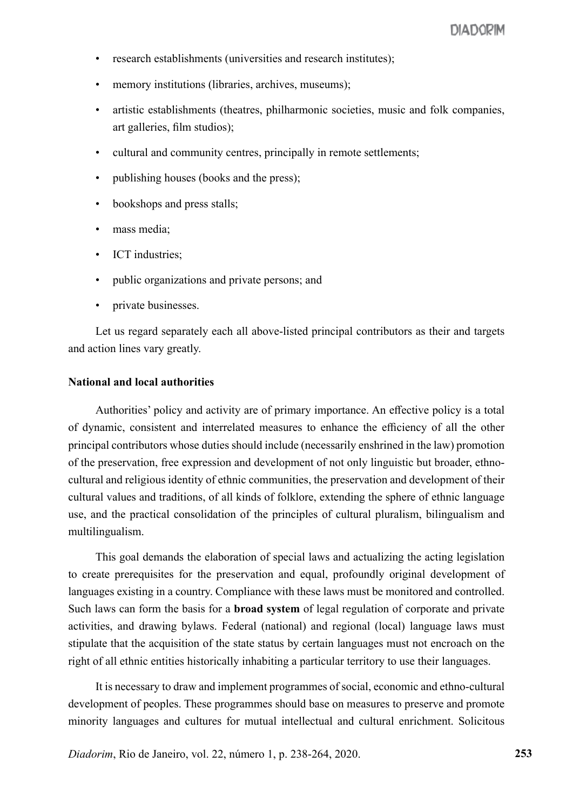- research establishments (universities and research institutes);
- memory institutions (libraries, archives, museums);
- artistic establishments (theatres, philharmonic societies, music and folk companies, art galleries, film studios);
- cultural and community centres, principally in remote settlements;
- publishing houses (books and the press);
- bookshops and press stalls;
- mass media:
- ICT industries;
- public organizations and private persons; and
- private businesses.

Let us regard separately each all above-listed principal contributors as their and targets and action lines vary greatly.

#### **National and local authorities**

Authorities' policy and activity are of primary importance. An effective policy is a total of dynamic, consistent and interrelated measures to enhance the efficiency of all the other principal contributors whose duties should include (necessarily enshrined in the law) promotion of the preservation, free expression and development of not only linguistic but broader, ethnocultural and religious identity of ethnic communities, the preservation and development of their cultural values and traditions, of all kinds of folklore, extending the sphere of ethnic language use, and the practical consolidation of the principles of cultural pluralism, bilingualism and multilingualism.

This goal demands the elaboration of special laws and actualizing the acting legislation to create prerequisites for the preservation and equal, profoundly original development of languages existing in a country. Compliance with these laws must be monitored and controlled. Such laws can form the basis for a **broad system** of legal regulation of corporate and private activities, and drawing bylaws. Federal (national) and regional (local) language laws must stipulate that the acquisition of the state status by certain languages must not encroach on the right of all ethnic entities historically inhabiting a particular territory to use their languages.

It is necessary to draw and implement programmes of social, economic and ethno-cultural development of peoples. These programmes should base on measures to preserve and promote minority languages and cultures for mutual intellectual and cultural enrichment. Solicitous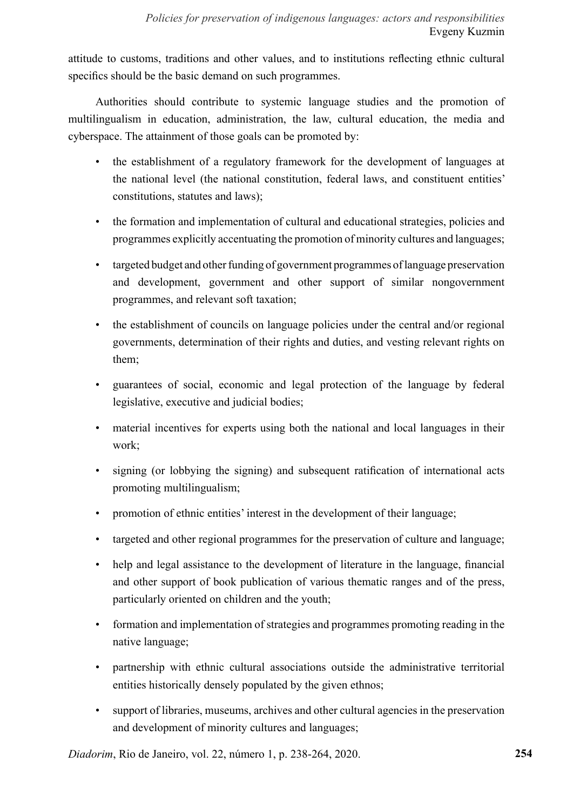attitude to customs, traditions and other values, and to institutions reflecting ethnic cultural specifics should be the basic demand on such programmes.

Authorities should contribute to systemic language studies and the promotion of multilingualism in education, administration, the law, cultural education, the media and cyberspace. The attainment of those goals can be promoted by:

- the establishment of a regulatory framework for the development of languages at the national level (the national constitution, federal laws, and constituent entities' constitutions, statutes and laws);
- the formation and implementation of cultural and educational strategies, policies and programmes explicitly accentuating the promotion of minority cultures and languages;
- targeted budget and other funding of government programmes of language preservation and development, government and other support of similar nongovernment programmes, and relevant soft taxation;
- the establishment of councils on language policies under the central and/or regional governments, determination of their rights and duties, and vesting relevant rights on them;
- guarantees of social, economic and legal protection of the language by federal legislative, executive and judicial bodies;
- material incentives for experts using both the national and local languages in their work;
- signing (or lobbying the signing) and subsequent ratification of international acts promoting multilingualism;
- promotion of ethnic entities' interest in the development of their language;
- targeted and other regional programmes for the preservation of culture and language;
- help and legal assistance to the development of literature in the language, financial and other support of book publication of various thematic ranges and of the press, particularly oriented on children and the youth;
- formation and implementation of strategies and programmes promoting reading in the native language;
- partnership with ethnic cultural associations outside the administrative territorial entities historically densely populated by the given ethnos;
- support of libraries, museums, archives and other cultural agencies in the preservation and development of minority cultures and languages;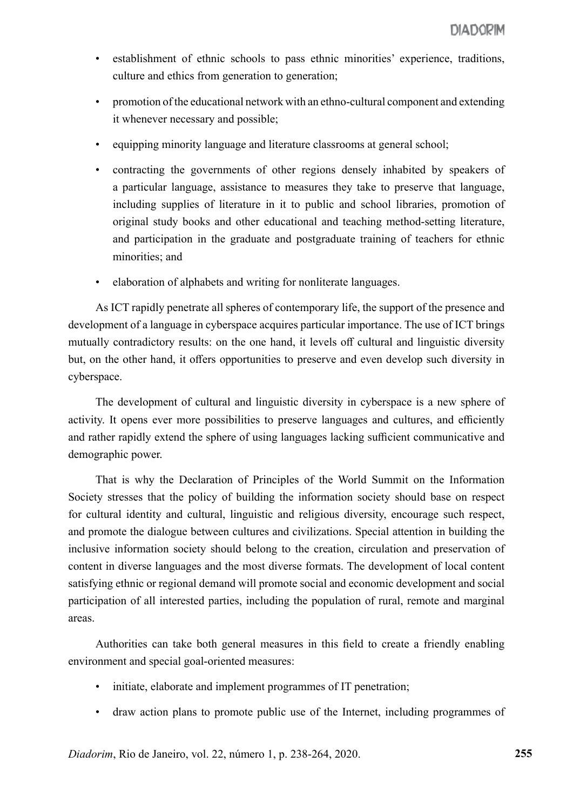- establishment of ethnic schools to pass ethnic minorities' experience, traditions, culture and ethics from generation to generation;
- promotion of the educational network with an ethno-cultural component and extending it whenever necessary and possible;
- equipping minority language and literature classrooms at general school;
- contracting the governments of other regions densely inhabited by speakers of a particular language, assistance to measures they take to preserve that language, including supplies of literature in it to public and school libraries, promotion of original study books and other educational and teaching method-setting literature, and participation in the graduate and postgraduate training of teachers for ethnic minorities; and
- elaboration of alphabets and writing for nonliterate languages.

As ICT rapidly penetrate all spheres of contemporary life, the support of the presence and development of a language in cyberspace acquires particular importance. The use of ICT brings mutually contradictory results: on the one hand, it levels off cultural and linguistic diversity but, on the other hand, it offers opportunities to preserve and even develop such diversity in cyberspace.

The development of cultural and linguistic diversity in cyberspace is a new sphere of activity. It opens ever more possibilities to preserve languages and cultures, and efficiently and rather rapidly extend the sphere of using languages lacking sufficient communicative and demographic power.

That is why the Declaration of Principles of the World Summit on the Information Society stresses that the policy of building the information society should base on respect for cultural identity and cultural, linguistic and religious diversity, encourage such respect, and promote the dialogue between cultures and civilizations. Special attention in building the inclusive information society should belong to the creation, circulation and preservation of content in diverse languages and the most diverse formats. The development of local content satisfying ethnic or regional demand will promote social and economic development and social participation of all interested parties, including the population of rural, remote and marginal areas.

Authorities can take both general measures in this field to create a friendly enabling environment and special goal-oriented measures:

- initiate, elaborate and implement programmes of IT penetration;
- draw action plans to promote public use of the Internet, including programmes of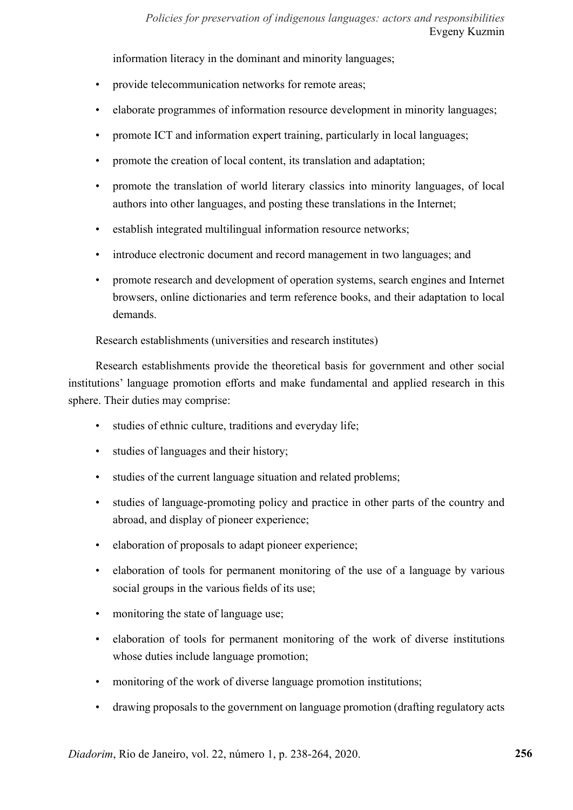information literacy in the dominant and minority languages;

- provide telecommunication networks for remote areas;
- elaborate programmes of information resource development in minority languages;
- promote ICT and information expert training, particularly in local languages;
- promote the creation of local content, its translation and adaptation;
- promote the translation of world literary classics into minority languages, of local authors into other languages, and posting these translations in the Internet;
- establish integrated multilingual information resource networks;
- introduce electronic document and record management in two languages; and
- promote research and development of operation systems, search engines and Internet browsers, online dictionaries and term reference books, and their adaptation to local demands.

Research establishments (universities and research institutes)

Research establishments provide the theoretical basis for government and other social institutions' language promotion efforts and make fundamental and applied research in this sphere. Their duties may comprise:

- studies of ethnic culture, traditions and everyday life;
- studies of languages and their history;
- studies of the current language situation and related problems;
- studies of language-promoting policy and practice in other parts of the country and abroad, and display of pioneer experience;
- elaboration of proposals to adapt pioneer experience;
- elaboration of tools for permanent monitoring of the use of a language by various social groups in the various fields of its use;
- monitoring the state of language use;
- elaboration of tools for permanent monitoring of the work of diverse institutions whose duties include language promotion;
- monitoring of the work of diverse language promotion institutions;
- drawing proposals to the government on language promotion (drafting regulatory acts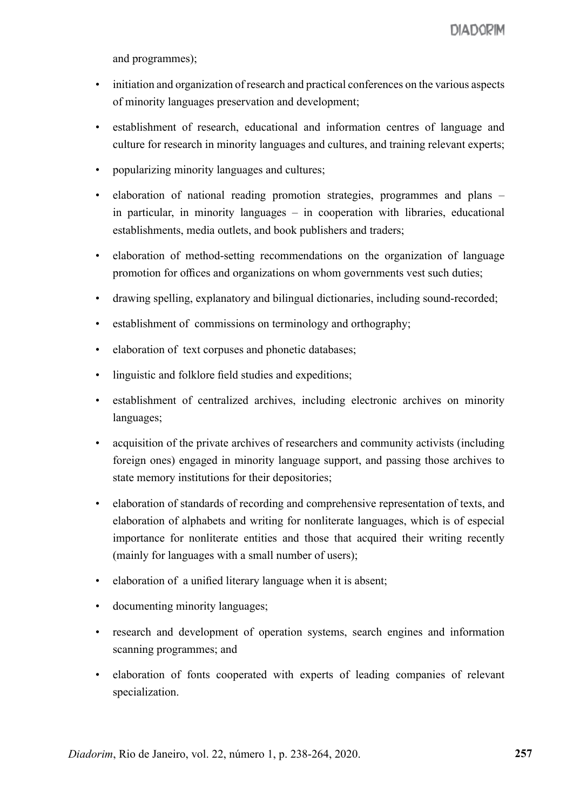and programmes);

- initiation and organization of research and practical conferences on the various aspects of minority languages preservation and development;
- establishment of research, educational and information centres of language and culture for research in minority languages and cultures, and training relevant experts;
- popularizing minority languages and cultures;
- elaboration of national reading promotion strategies, programmes and plans in particular, in minority languages – in cooperation with libraries, educational establishments, media outlets, and book publishers and traders;
- elaboration of method-setting recommendations on the organization of language promotion for offices and organizations on whom governments vest such duties;
- drawing spelling, explanatory and bilingual dictionaries, including sound-recorded;
- establishment of commissions on terminology and orthography;
- elaboration of text corpuses and phonetic databases;
- linguistic and folklore field studies and expeditions;
- establishment of centralized archives, including electronic archives on minority languages;
- acquisition of the private archives of researchers and community activists (including foreign ones) engaged in minority language support, and passing those archives to state memory institutions for their depositories;
- elaboration of standards of recording and comprehensive representation of texts, and elaboration of alphabets and writing for nonliterate languages, which is of especial importance for nonliterate entities and those that acquired their writing recently (mainly for languages with a small number of users);
- elaboration of a unified literary language when it is absent;
- documenting minority languages;
- research and development of operation systems, search engines and information scanning programmes; and
- elaboration of fonts cooperated with experts of leading companies of relevant specialization.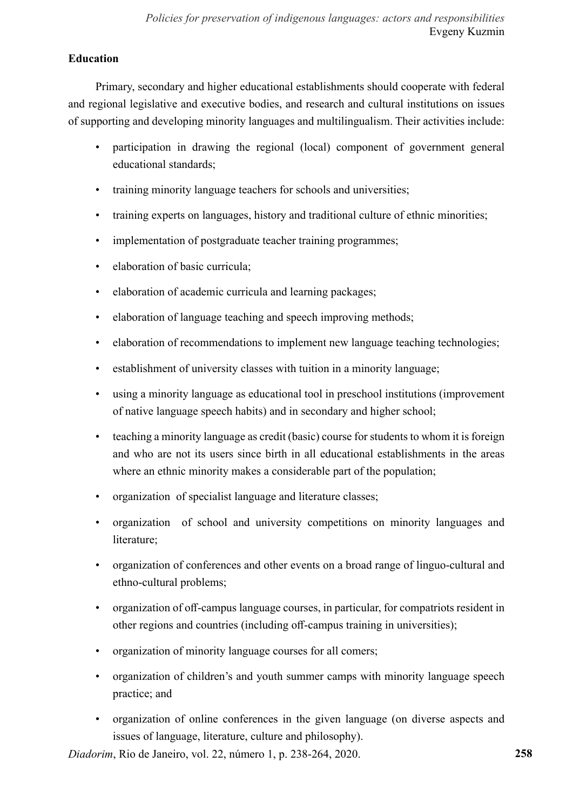# **Education**

Primary, secondary and higher educational establishments should cooperate with federal and regional legislative and executive bodies, and research and cultural institutions on issues of supporting and developing minority languages and multilingualism. Their activities include:

- participation in drawing the regional (local) component of government general educational standards;
- training minority language teachers for schools and universities:
- training experts on languages, history and traditional culture of ethnic minorities;
- implementation of postgraduate teacher training programmes;
- elaboration of basic curricula;
- elaboration of academic curricula and learning packages;
- elaboration of language teaching and speech improving methods;
- elaboration of recommendations to implement new language teaching technologies;
- establishment of university classes with tuition in a minority language;
- using a minority language as educational tool in preschool institutions (improvement of native language speech habits) and in secondary and higher school;
- teaching a minority language as credit (basic) course for students to whom it is foreign and who are not its users since birth in all educational establishments in the areas where an ethnic minority makes a considerable part of the population;
- organization of specialist language and literature classes;
- organization of school and university competitions on minority languages and literature;
- organization of conferences and other events on a broad range of linguo-cultural and ethno-cultural problems;
- organization of off-campus language courses, in particular, for compatriots resident in other regions and countries (including off-campus training in universities);
- organization of minority language courses for all comers;
- organization of children's and youth summer camps with minority language speech practice; and
- organization of online conferences in the given language (on diverse aspects and issues of language, literature, culture and philosophy).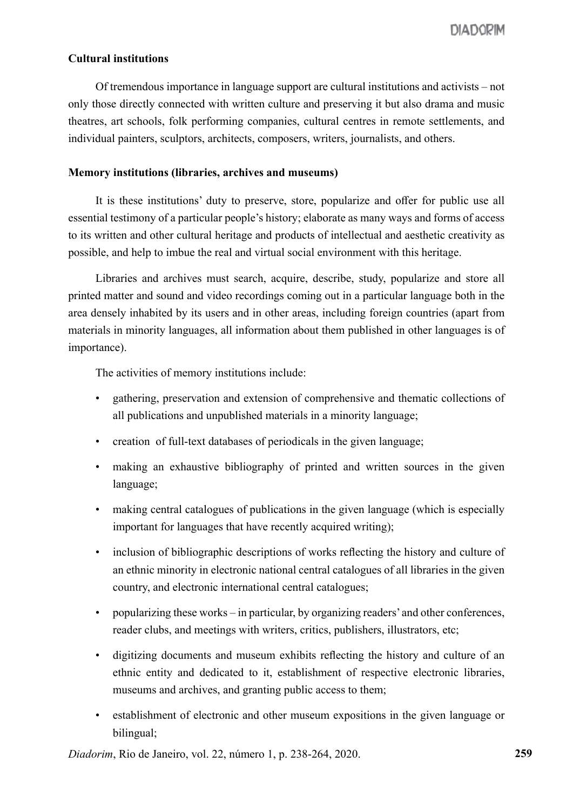## **Cultural institutions**

Of tremendous importance in language support are cultural institutions and activists – not only those directly connected with written culture and preserving it but also drama and music theatres, art schools, folk performing companies, cultural centres in remote settlements, and individual painters, sculptors, architects, composers, writers, journalists, and others.

#### **Memory institutions (libraries, archives and museums)**

It is these institutions' duty to preserve, store, popularize and offer for public use all essential testimony of a particular people's history; elaborate as many ways and forms of access to its written and other cultural heritage and products of intellectual and aesthetic creativity as possible, and help to imbue the real and virtual social environment with this heritage.

Libraries and archives must search, acquire, describe, study, popularize and store all printed matter and sound and video recordings coming out in a particular language both in the area densely inhabited by its users and in other areas, including foreign countries (apart from materials in minority languages, all information about them published in other languages is of importance).

The activities of memory institutions include:

- gathering, preservation and extension of comprehensive and thematic collections of all publications and unpublished materials in a minority language;
- creation of full-text databases of periodicals in the given language;
- making an exhaustive bibliography of printed and written sources in the given language;
- making central catalogues of publications in the given language (which is especially important for languages that have recently acquired writing);
- inclusion of bibliographic descriptions of works reflecting the history and culture of an ethnic minority in electronic national central catalogues of all libraries in the given country, and electronic international central catalogues;
- popularizing these works in particular, by organizing readers' and other conferences, reader clubs, and meetings with writers, critics, publishers, illustrators, etc;
- digitizing documents and museum exhibits reflecting the history and culture of an ethnic entity and dedicated to it, establishment of respective electronic libraries, museums and archives, and granting public access to them;
- establishment of electronic and other museum expositions in the given language or bilingual;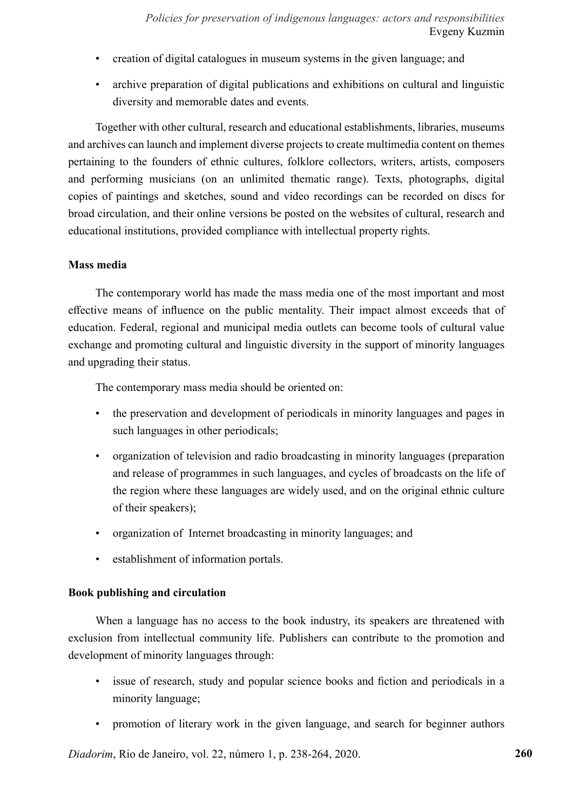- creation of digital catalogues in museum systems in the given language; and
- archive preparation of digital publications and exhibitions on cultural and linguistic diversity and memorable dates and events.

Together with other cultural, research and educational establishments, libraries, museums and archives can launch and implement diverse projects to create multimedia content on themes pertaining to the founders of ethnic cultures, folklore collectors, writers, artists, composers and performing musicians (on an unlimited thematic range). Texts, photographs, digital copies of paintings and sketches, sound and video recordings can be recorded on discs for broad circulation, and their online versions be posted on the websites of cultural, research and educational institutions, provided compliance with intellectual property rights.

## **Mass media**

The contemporary world has made the mass media one of the most important and most effective means of influence on the public mentality. Their impact almost exceeds that of education. Federal, regional and municipal media outlets can become tools of cultural value exchange and promoting cultural and linguistic diversity in the support of minority languages and upgrading their status.

The contemporary mass media should be oriented on:

- the preservation and development of periodicals in minority languages and pages in such languages in other periodicals;
- organization of television and radio broadcasting in minority languages (preparation and release of programmes in such languages, and cycles of broadcasts on the life of the region where these languages are widely used, and on the original ethnic culture of their speakers);
- organization of Internet broadcasting in minority languages; and
- establishment of information portals.

# **Book publishing and circulation**

When a language has no access to the book industry, its speakers are threatened with exclusion from intellectual community life. Publishers can contribute to the promotion and development of minority languages through:

- issue of research, study and popular science books and fiction and periodicals in a minority language;
- promotion of literary work in the given language, and search for beginner authors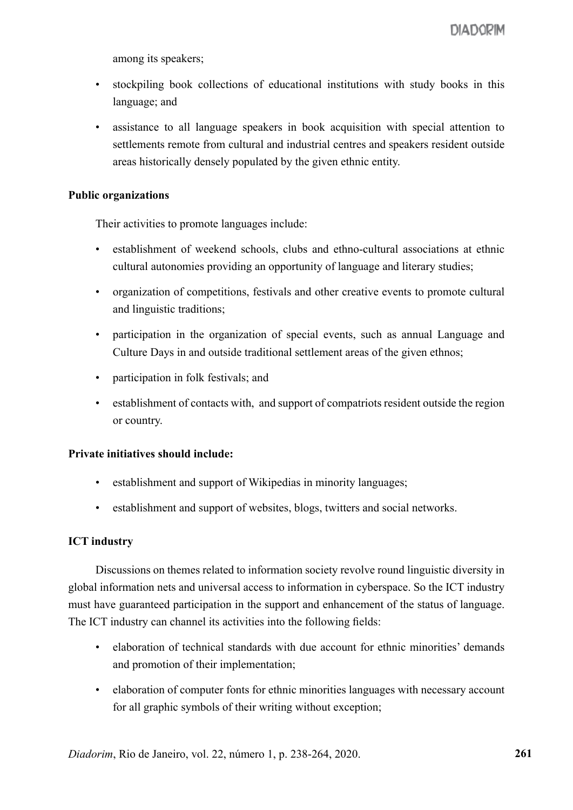among its speakers;

- stockpiling book collections of educational institutions with study books in this language; and
- assistance to all language speakers in book acquisition with special attention to settlements remote from cultural and industrial centres and speakers resident outside areas historically densely populated by the given ethnic entity.

## **Public organizations**

Their activities to promote languages include:

- establishment of weekend schools, clubs and ethno-cultural associations at ethnic cultural autonomies providing an opportunity of language and literary studies;
- organization of competitions, festivals and other creative events to promote cultural and linguistic traditions;
- participation in the organization of special events, such as annual Language and Culture Days in and outside traditional settlement areas of the given ethnos;
- participation in folk festivals; and
- establishment of contacts with, and support of compatriots resident outside the region or country.

## **Private initiatives should include:**

- establishment and support of Wikipedias in minority languages;
- establishment and support of websites, blogs, twitters and social networks.

# **ICT industry**

Discussions on themes related to information society revolve round linguistic diversity in global information nets and universal access to information in cyberspace. So the ICT industry must have guaranteed participation in the support and enhancement of the status of language. The ICT industry can channel its activities into the following fields:

- elaboration of technical standards with due account for ethnic minorities' demands and promotion of their implementation;
- elaboration of computer fonts for ethnic minorities languages with necessary account for all graphic symbols of their writing without exception;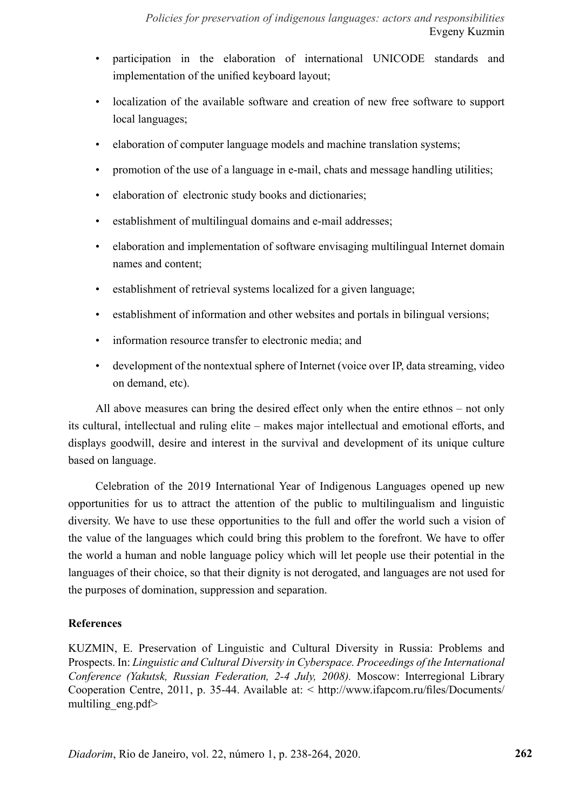- participation in the elaboration of international UNICODE standards and implementation of the unified keyboard layout;
- localization of the available software and creation of new free software to support local languages;
- elaboration of computer language models and machine translation systems;
- promotion of the use of a language in e-mail, chats and message handling utilities;
- elaboration of electronic study books and dictionaries;
- establishment of multilingual domains and e-mail addresses;
- elaboration and implementation of software envisaging multilingual Internet domain names and content;
- establishment of retrieval systems localized for a given language;
- establishment of information and other websites and portals in bilingual versions;
- information resource transfer to electronic media; and
- development of the nontextual sphere of Internet (voice over IP, data streaming, video on demand, etc).

All above measures can bring the desired effect only when the entire ethnos – not only its cultural, intellectual and ruling elite – makes major intellectual and emotional efforts, and displays goodwill, desire and interest in the survival and development of its unique culture based on language.

Celebration of the 2019 International Year of Indigenous Languages opened up new opportunities for us to attract the attention of the public to multilingualism and linguistic diversity. We have to use these opportunities to the full and offer the world such a vision of the value of the languages which could bring this problem to the forefront. We have to offer the world a human and noble language policy which will let people use their potential in the languages of their choice, so that their dignity is not derogated, and languages are not used for the purposes of domination, suppression and separation.

# **References**

KUZMIN, E. Preservation of Linguistic and Cultural Diversity in Russia: Problems and Prospects. In: *Linguistic and Cultural Diversity in Cyberspace. Proceedings of the International Conference (Yakutsk, Russian Federation, 2-4 July, 2008).* Moscow: Interregional Library Cooperation Centre, 2011, p. 35-44. Available at: < http://www.ifapcom.ru/files/Documents/ multiling\_eng.pdf>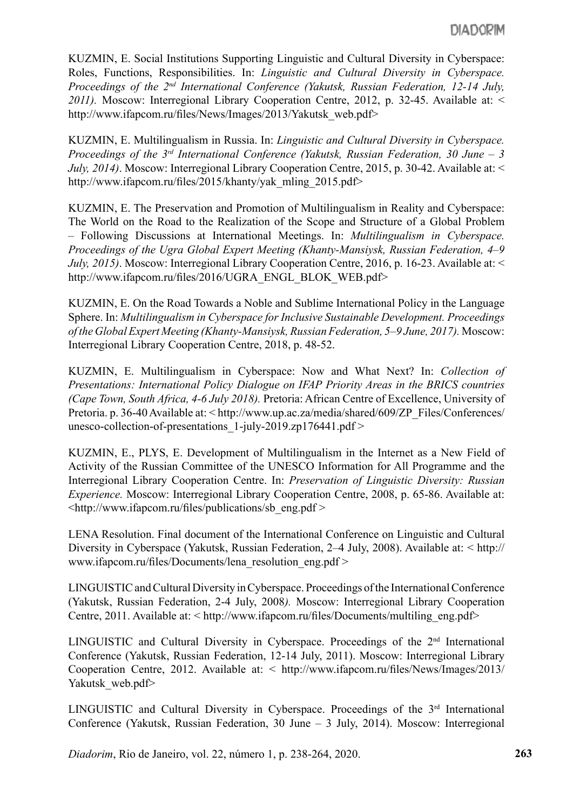KUZMIN, E. Social Institutions Supporting Linguistic and Cultural Diversity in Cyberspace: Roles, Functions, Responsibilities. In: *Linguistic and Cultural Diversity in Cyberspace. Proceedings of the 2nd International Conference (Yakutsk, Russian Federation, 12-14 July, 2011).* Moscow: Interregional Library Cooperation Centre, 2012, p. 32-45. Available at: < http://www.ifapcom.ru/files/News/Images/2013/Yakutsk\_web.pdf>

KUZMIN, E. Multilingualism in Russia. In: *Linguistic and Cultural Diversity in Cyberspace. Proceedings of the 3rd International Conference (Yakutsk, Russian Federation, 30 June – 3 July, 2014)*. Moscow: Interregional Library Cooperation Centre, 2015, p. 30-42. Available at: < http://www.ifapcom.ru/files/2015/khanty/yak\_mling\_2015.pdf>

KUZMIN, E. The Preservation and Promotion of Multilingualism in Reality and Cyberspace: The World on the Road to the Realization of the Scope and Structure of a Global Problem – Following Discussions at International Meetings. In: *Multilingualism in Cyberspace. Proceedings of the Ugra Global Expert Meeting (Khanty-Mansiysk, Russian Federation, 4–9 July, 2015)*. Moscow: Interregional Library Cooperation Centre, 2016, p. 16-23. Available at: < http://www.ifapcom.ru/files/2016/UGRA\_ENGL\_BLOK\_WEB.pdf>

KUZMIN, E. On the Road Towards a Noble and Sublime International Policy in the Language Sphere. In: *Multilingualism in Cyberspace for Inclusive Sustainable Development. Proceedings of the Global Expert Meeting (Khanty-Mansiysk, Russian Federation, 5–9 June, 2017).* Moscow: Interregional Library Cooperation Centre, 2018, p. 48-52.

KUZMIN, E. Multilingualism in Cyberspace: Now and What Next? In: *Collection of Presentations: International Policy Dialogue on IFAP Priority Areas in the BRICS countries (Cape Town, South Africa, 4-6 July 2018).* Pretoria: African Centre of Excellence, University of Pretoria. p. 36-40 Available at: < http://www.up.ac.za/media/shared/609/ZP\_Files/Conferences/ unesco-collection-of-presentations 1-july-2019.zp176441.pdf >

KUZMIN, E., PLYS, E. Development of Multilingualism in the Internet as a New Field of Activity of the Russian Committee of the UNESCO Information for All Programme and the Interregional Library Cooperation Centre. In: *Preservation of Linguistic Diversity: Russian Experience.* Мoscow: Interregional Library Cooperation Centre, 2008, p. 65-86. Available at: <http://www.ifapcom.ru/files/publications/sb\_eng.pdf >

LENA Resolution. Final document of the International Conference on Linguistic and Cultural Diversity in Cyberspace (Yakutsk, Russian Federation, 2–4 July, 2008). Available at: < http:// www.ifapcom.ru/files/Documents/lena\_resolution\_eng.pdf >

LINGUISTIC and Cultural Diversity in Cyberspace. Proceedings of the International Conference (Yakutsk, Russian Federation, 2-4 July, 2008*).* Moscow: Interregional Library Cooperation Centre, 2011. Available at: < http://www.ifapcom.ru/files/Documents/multiling\_eng.pdf>

LINGUISTIC and Cultural Diversity in Cyberspace. Proceedings of the 2<sup>nd</sup> International Conference (Yakutsk, Russian Federation, 12-14 July, 2011). Moscow: Interregional Library Cooperation Centre, 2012. Available at: < http://www.ifapcom.ru/files/News/Images/2013/ Yakutsk web.pdf>

LINGUISTIC and Cultural Diversity in Cyberspace. Proceedings of the 3<sup>rd</sup> International Conference (Yakutsk, Russian Federation, 30 June – 3 July, 2014). Moscow: Interregional